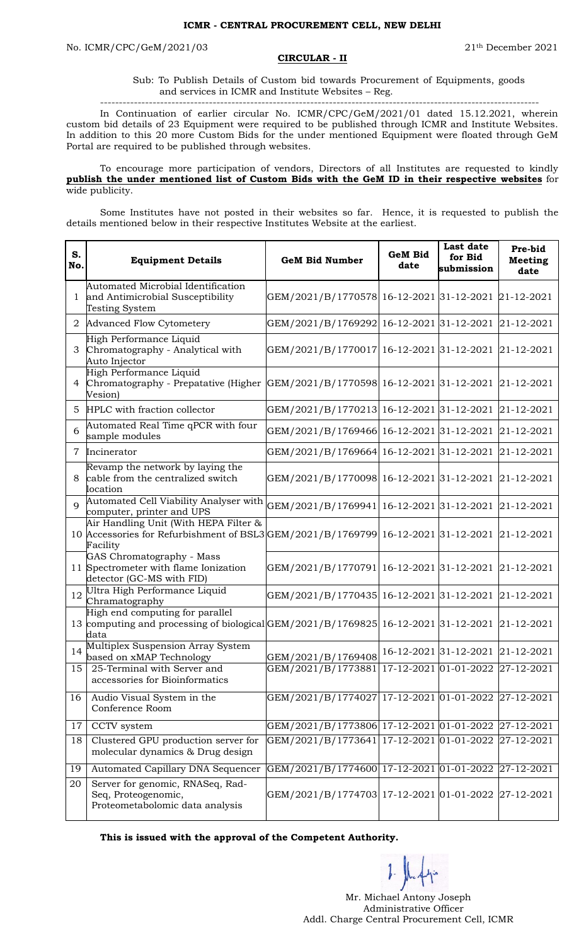## **CIRCULAR - II**

Sub: To Publish Details of Custom bid towards Procurement of Equipments, goods and services in ICMR and Institute Websites – Reg.

--------------------------------------------------------------------------------------------------------------------- In Continuation of earlier circular No. ICMR/CPC/GeM/2021/01 dated 15.12.2021, wherein custom bid details of 23 Equipment were required to be published through ICMR and Institute Websites. In addition to this 20 more Custom Bids for the under mentioned Equipment were floated through GeM Portal are required to be published through websites.

To encourage more participation of vendors, Directors of all Institutes are requested to kindly **publish the under mentioned list of Custom Bids with the GeM ID in their respective websites** for wide publicity.

Some Institutes have not posted in their websites so far. Hence, it is requested to publish the details mentioned below in their respective Institutes Website at the earliest.

| S.<br>No.      | <b>Equipment Details</b>                                                                                                               | <b>GeM Bid Number</b>                               | <b>GeM Bid</b><br>date | <b>Last date</b><br>for Bid<br>submission | Pre-bid<br><b>Meeting</b><br>date |
|----------------|----------------------------------------------------------------------------------------------------------------------------------------|-----------------------------------------------------|------------------------|-------------------------------------------|-----------------------------------|
| $\mathbf{1}$   | Automated Microbial Identification<br>and Antimicrobial Susceptibility<br>Testing System                                               | GEM/2021/B/1770578 16-12-2021 31-12-2021 21-12-2021 |                        |                                           |                                   |
| 2              | Advanced Flow Cytometery                                                                                                               | GEM/2021/B/1769292 16-12-2021 31-12-2021            |                        |                                           | 21-12-2021                        |
| 3              | High Performance Liquid<br>Chromatography - Analytical with<br>Auto Injector                                                           | GEM/2021/B/1770017 16-12-2021 31-12-2021            |                        |                                           | $ 21-12-2021$                     |
| 4              | High Performance Liquid<br>Chromatography - Prepatative (Higher GEM/2021/B/1770598 16-12-2021 31-12-2021<br>Vesion)                    |                                                     |                        |                                           | 21-12-2021                        |
| 5              | HPLC with fraction collector                                                                                                           | GEM/2021/B/1770213 16-12-2021 31-12-2021            |                        |                                           | 21-12-2021                        |
| 6              | Automated Real Time qPCR with four<br>sample modules                                                                                   | GEM/2021/B/1769466 16-12-2021 31-12-2021            |                        |                                           | 21-12-2021                        |
|                | 7 Incinerator                                                                                                                          | GEM/2021/B/1769664 16-12-2021 31-12-2021            |                        |                                           | 21-12-2021                        |
| 8              | Revamp the network by laying the<br>cable from the centralized switch<br>location                                                      | GEM/2021/B/1770098 16-12-2021 31-12-2021            |                        |                                           | 21-12-2021                        |
| $\overline{Q}$ | Automated Cell Viability Analyser with<br>computer, printer and UPS                                                                    | GEM/2021/B/1769941 16-12-2021 31-12-2021            |                        |                                           | 21-12-2021                        |
|                | Air Handling Unit (With HEPA Filter &<br>10 Accessories for Refurbishment of BSL3 GEM/2021/B/1769799 16-12-2021 31-12-2021<br>Facility |                                                     |                        |                                           | 21-12-2021                        |
|                | GAS Chromatography - Mass<br>11 Spectrometer with flame Ionization<br>detector (GC-MS with FID)                                        | GEM/2021/B/1770791 16-12-2021 31-12-2021            |                        |                                           | 21-12-2021                        |
|                | 12 Ultra High Performance Liquid<br>Chramatography                                                                                     | GEM/2021/B/1770435 16-12-2021 31-12-2021            |                        |                                           | 21-12-2021                        |
|                | High end computing for parallel<br>13 computing and processing of biological GEM/2021/B/1769825 16-12-2021 31-12-2021<br>data          |                                                     |                        |                                           | 21-12-2021                        |
| 14             | Multiplex Suspension Array System<br>based on xMAP Technology                                                                          | GEM/2021/B/1769408                                  |                        | 16-12-2021 31-12-2021 21-12-2021          |                                   |
| 15             | 25-Terminal with Server and<br>accessories for Bioinformatics                                                                          | GEM/2021/B/1773881 17-12-2021 01-01-2022 27-12-2021 |                        |                                           |                                   |
| 16             | Audio Visual System in the<br>Conference Room                                                                                          | GEM/2021/B/1774027 17-12-2021 01-01-2022            |                        |                                           | 27-12-2021                        |
| 17             | CCTV system                                                                                                                            | GEM/2021/B/1773806 17-12-2021 01-01-2022            |                        |                                           | 27-12-2021                        |
| 18             | Clustered GPU production server for<br>molecular dynamics & Drug design                                                                | GEM/2021/B/1773641 17-12-2021 01-01-2022            |                        |                                           | 27-12-2021                        |
| 19             | Automated Capillary DNA Sequencer                                                                                                      | GEM/2021/B/1774600 17-12-2021 01-01-2022            |                        |                                           | 27-12-2021                        |
| 20             | Server for genomic, RNASeq, Rad-<br>Seq, Proteogenomic,<br>Proteometabolomic data analysis                                             | GEM/2021/B/1774703 17-12-2021 01-01-2022 27-12-2021 |                        |                                           |                                   |

**This is issued with the approval of the Competent Authority.**

 $1 - \sqrt{2}$ 

 Mr. Michael Antony Joseph Administrative Officer Addl. Charge Central Procurement Cell, ICMR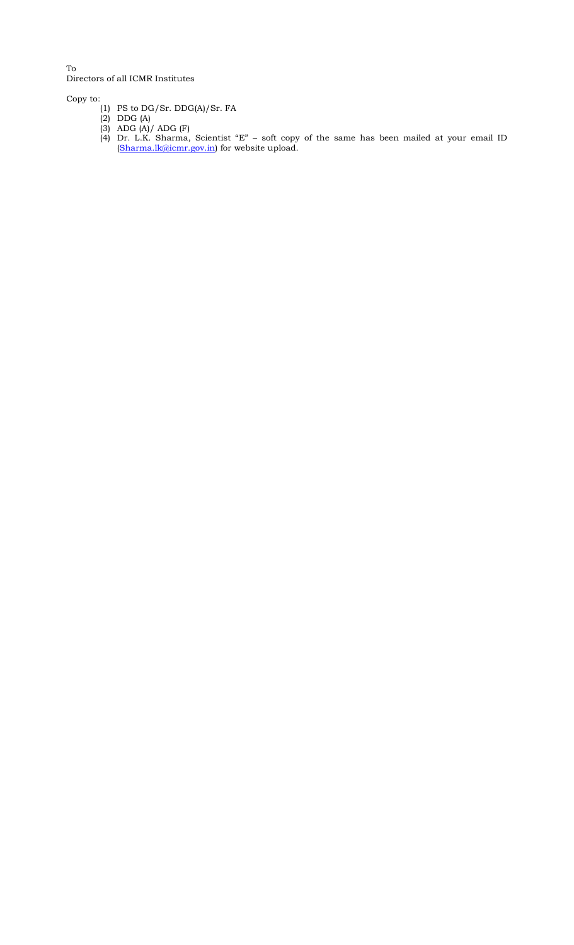To Directors of all ICMR Institutes

Copy to:

- (1) PS to DG/Sr. DDG(A)/Sr. FA
- (2) DDG (A)
- (3) ADG (A)/ ADG (F)
- (4) Dr. L.K. Sharma, Scientist "E" soft copy of the same has been mailed at your email ID [\(Sharma.lk@icmr.gov.in\)](mailto:Sharma.lk@icmr.gov.in) for website upload.